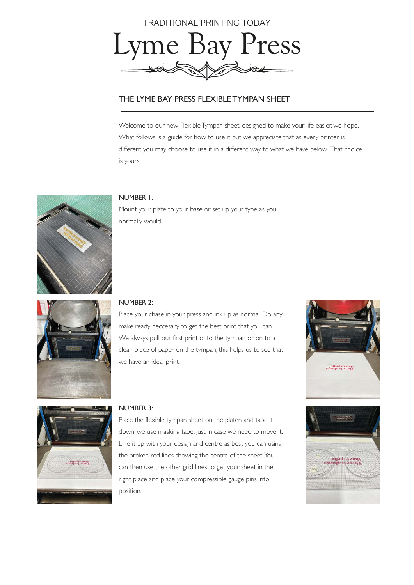

# THE LYME BAY PRESS FLEXIBLE TYMPAN SHEET

Welcome to our new Flexible Tympan sheet, designed to make your life easier, we hope. What follows is a guide for how to use it but we appreciate that as every printer is different you may choose to use it in a different way to what we have below. That choice is yours.



## NUMBER 1:

Mount your plate to your base or set up your type as you normally would.



#### NUMBER 2:

Place your chase in your press and ink up as normal. Do any make ready neccesary to get the best print that you can. We always pull our first print onto the tympan or on to a clean piece of paper on the tympan, this helps us to see that we have an ideal print.





#### NUMBER 3:

Place the flexible tympan sheet on the platen and tape it down, we use masking tape, just in case we need to move it. Line it up with your design and centre as best you can using the broken red lines showing the centre of the sheet. You can then use the other grid lines to get your sheet in the right place and place your compressible gauge pins into position.